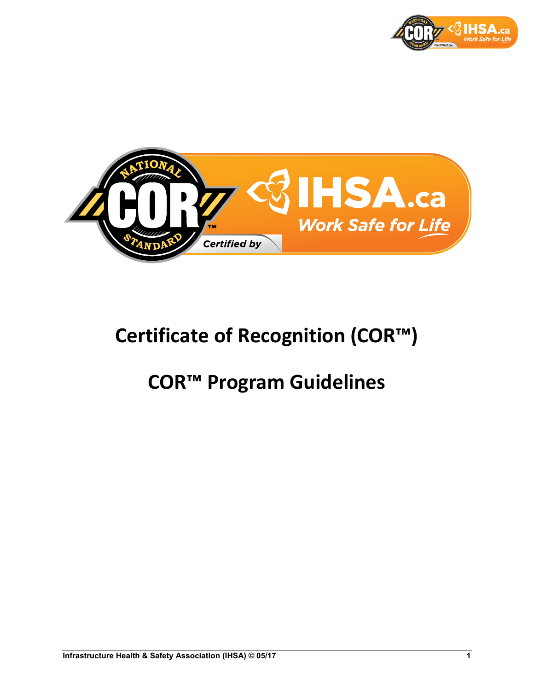



# **Certificate of Recognition (COR™)**

# **COR™ Program Guidelines**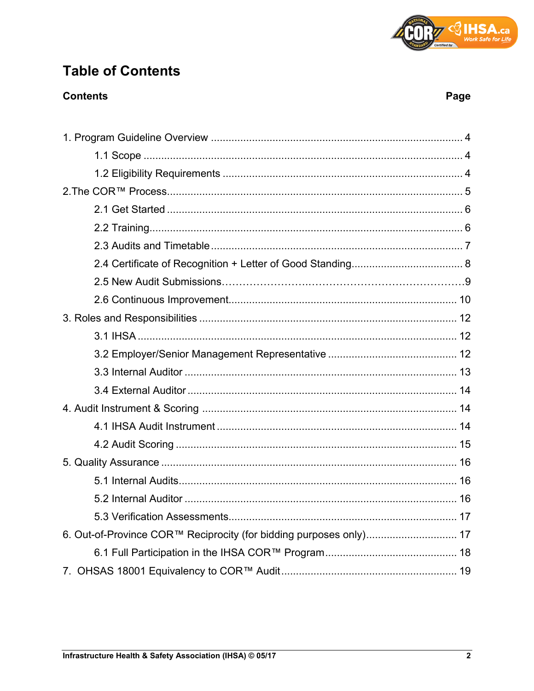

## **Table of Contents**

### **Contents**

| 6. Out-of-Province COR™ Reciprocity (for bidding purposes only) 17 |  |
|--------------------------------------------------------------------|--|
|                                                                    |  |
|                                                                    |  |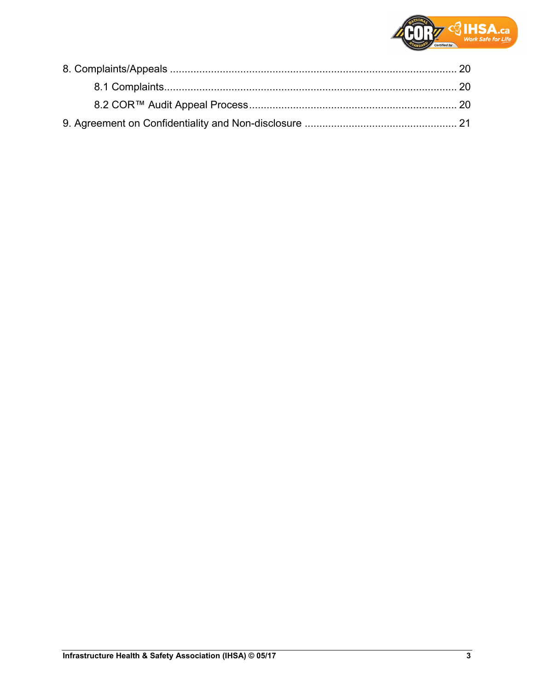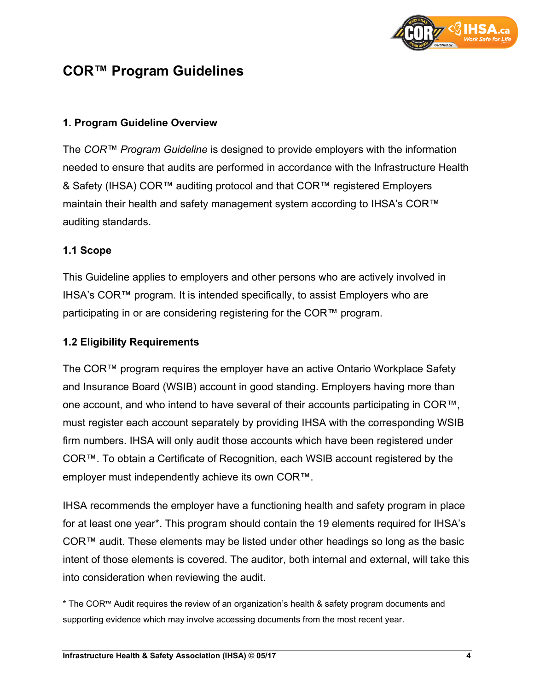

### **COR™ Program Guidelines**

#### **1. Program Guideline Overview**

The *COR™ Program Guideline* is designed to provide employers with the information needed to ensure that audits are performed in accordance with the Infrastructure Health & Safety (IHSA) COR™ auditing protocol and that COR™ registered Employers maintain their health and safety management system according to IHSA's COR™ auditing standards.

#### **1.1 Scope**

This Guideline applies to employers and other persons who are actively involved in IHSA's COR™ program. It is intended specifically, to assist Employers who are participating in or are considering registering for the COR™ program.

#### **1.2 Eligibility Requirements**

The COR™ program requires the employer have an active Ontario Workplace Safety and Insurance Board (WSIB) account in good standing. Employers having more than one account, and who intend to have several of their accounts participating in COR™, must register each account separately by providing IHSA with the corresponding WSIB firm numbers. IHSA will only audit those accounts which have been registered under COR™. To obtain a Certificate of Recognition, each WSIB account registered by the employer must independently achieve its own COR™.

IHSA recommends the employer have a functioning health and safety program in place for at least one year\*. This program should contain the 19 elements required for IHSA's COR™ audit. These elements may be listed under other headings so long as the basic intent of those elements is covered. The auditor, both internal and external, will take this into consideration when reviewing the audit.

\* The COR™ Audit requires the review of an organization's health & safety program documents and supporting evidence which may involve accessing documents from the most recent year.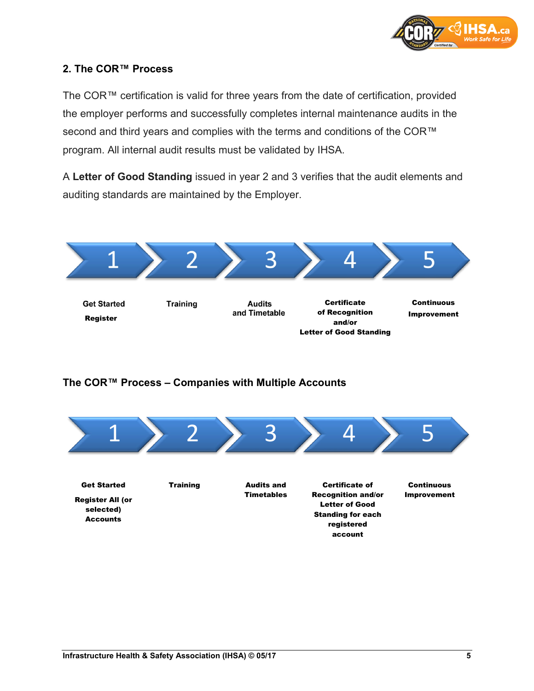

#### **2. The COR™ Process**

The COR™ certification is valid for three years from the date of certification, provided the employer performs and successfully completes internal maintenance audits in the second and third years and complies with the terms and conditions of the COR™ program. All internal audit results must be validated by IHSA.

A **Letter of Good Standing** issued in year 2 and 3 verifies that the audit elements and auditing standards are maintained by the Employer.



#### **The COR™ Process – Companies with Multiple Accounts**

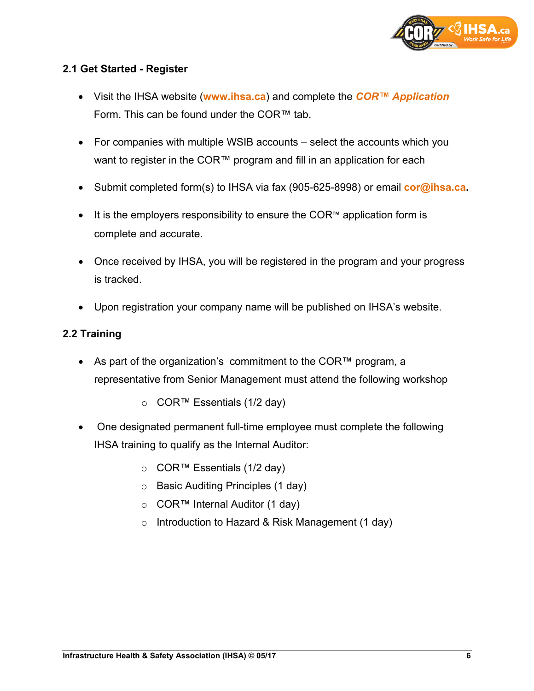

#### **2.1 Get Started - Register**

- Visit the IHSA website (**[www.ihsa.ca](http://www.ihsa.ca/)**) and complete the *[COR™ Application](https://ihsa.formstack.com/forms/cor_application_form)* Form. This can be found under the COR™ tab.
- For companies with multiple WSIB accounts select the accounts which you want to register in the COR™ program and fill in an application for each
- Submit completed form(s) to IHSA via fax (905-625-8998) or email **[cor@ihsa.ca.](mailto:cor@ihsa.ca)**
- It is the employers responsibility to ensure the COR™ application form is complete and accurate.
- Once received by IHSA, you will be registered in the program and your progress is tracked.
- Upon registration your company name will be published on IHSA's website.

#### **2.2 Training**

- As part of the organization's commitment to the COR™ program, a representative from Senior Management must attend the following workshop
	- o COR™ Essentials (1/2 day)
- One designated permanent full-time employee must complete the following IHSA training to qualify as the Internal Auditor:
	- o COR™ Essentials (1/2 day)
	- o Basic Auditing Principles (1 day)
	- o COR™ Internal Auditor (1 day)
	- o Introduction to Hazard & Risk Management (1 day)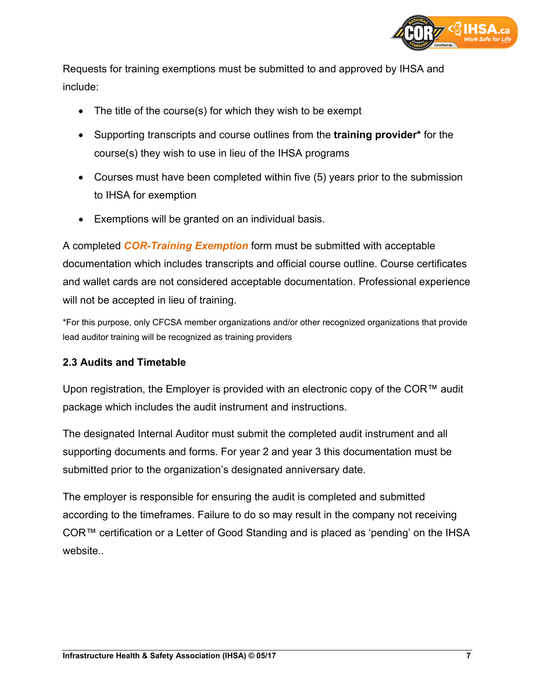

Requests for training exemptions must be submitted to and approved by IHSA and include:

- The title of the course(s) for which they wish to be exempt
- Supporting transcripts and course outlines from the **training provider\*** for the course(s) they wish to use in lieu of the IHSA programs
- Courses must have been completed within five (5) years prior to the submission to IHSA for exemption
- Exemptions will be granted on an individual basis.

A completed *[COR-Training Exemption](http://www.ihsa.ca/pdfs/cor/forms/cor-training-exemption-form.pdf)* form must be submitted with acceptable documentation which includes transcripts and official course outline. Course certificates and wallet cards are not considered acceptable documentation. Professional experience will not be accepted in lieu of training.

\*For this purpose, only CFCSA member organizations and/or other recognized organizations that provide lead auditor training will be recognized as training providers

#### **2.3 Audits and Timetable**

Upon registration, the Employer is provided with an electronic copy of the COR™ audit package which includes the audit instrument and instructions.

The designated Internal Auditor must submit the completed audit instrument and all supporting documents and forms. For year 2 and year 3 this documentation must be submitted prior to the organization's designated anniversary date.

The employer is responsible for ensuring the audit is completed and submitted according to the timeframes. Failure to do so may result in the company not receiving COR™ certification or a Letter of Good Standing and is placed as 'pending' on the IHSA website..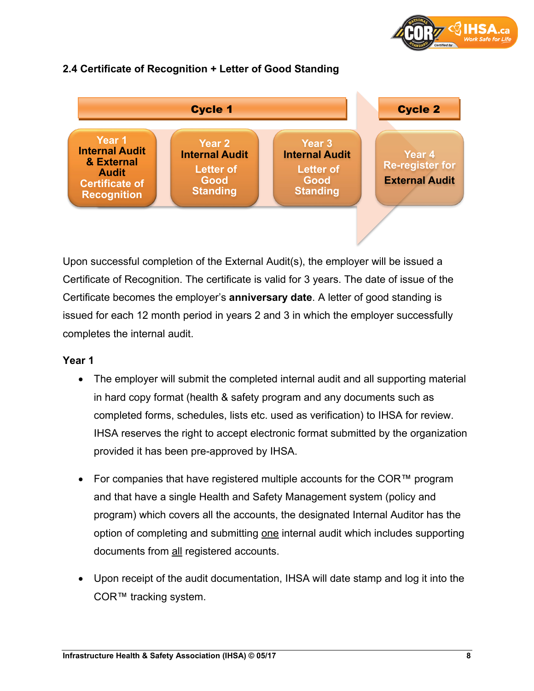

#### **Year 1 Internal Audit & External Audit Certificate of Recognition Year 2 Internal Audit Letter of Good Standing Year 3 Internal Audit Letter of Good Standing Year 4 Re-register for External Audit** Cycle 1 Cycle 2

#### **2.4 Certificate of Recognition + Letter of Good Standing**

Upon successful completion of the External Audit(s), the employer will be issued a Certificate of Recognition. The certificate is valid for 3 years. The date of issue of the Certificate becomes the employer's **anniversary date**. A letter of good standing is issued for each 12 month period in years 2 and 3 in which the employer successfully completes the internal audit.

#### **Year 1**

- The employer will submit the completed internal audit and all supporting material in hard copy format (health & safety program and any documents such as completed forms, schedules, lists etc. used as verification) to IHSA for review. IHSA reserves the right to accept electronic format submitted by the organization provided it has been pre-approved by IHSA.
- For companies that have registered multiple accounts for the COR<sup>™</sup> program and that have a single Health and Safety Management system (policy and program) which covers all the accounts, the designated Internal Auditor has the option of completing and submitting one internal audit which includes supporting documents from all registered accounts.
- Upon receipt of the audit documentation, IHSA will date stamp and log it into the COR™ tracking system.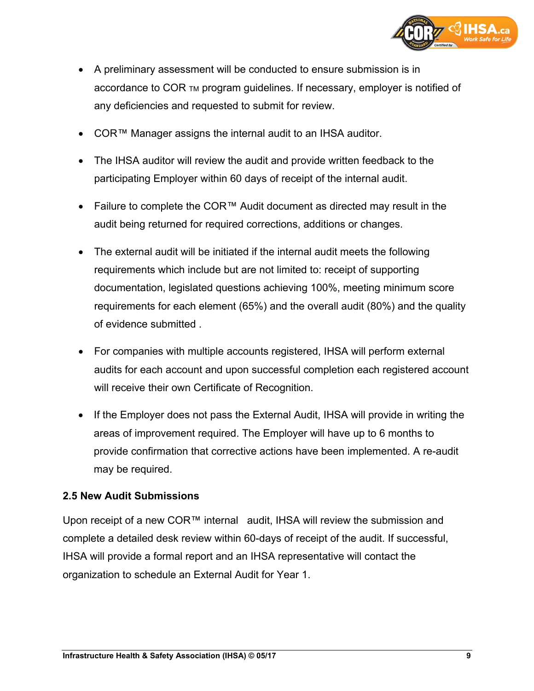

- A preliminary assessment will be conducted to ensure submission is in accordance to COR TM program guidelines. If necessary, employer is notified of any deficiencies and requested to submit for review.
- COR™ Manager assigns the internal audit to an IHSA auditor.
- The IHSA auditor will review the audit and provide written feedback to the participating Employer within 60 days of receipt of the internal audit.
- Failure to complete the COR™ Audit document as directed may result in the audit being returned for required corrections, additions or changes.
- The external audit will be initiated if the internal audit meets the following requirements which include but are not limited to: receipt of supporting documentation, legislated questions achieving 100%, meeting minimum score requirements for each element (65%) and the overall audit (80%) and the quality of evidence submitted .
- For companies with multiple accounts registered, IHSA will perform external audits for each account and upon successful completion each registered account will receive their own Certificate of Recognition.
- If the Employer does not pass the External Audit, IHSA will provide in writing the areas of improvement required. The Employer will have up to 6 months to provide confirmation that corrective actions have been implemented. A re-audit may be required.

#### **2.5 New Audit Submissions**

Upon receipt of a new COR™ internal audit, IHSA will review the submission and complete a detailed desk review within 60-days of receipt of the audit. If successful, IHSA will provide a formal report and an IHSA representative will contact the organization to schedule an External Audit for Year 1.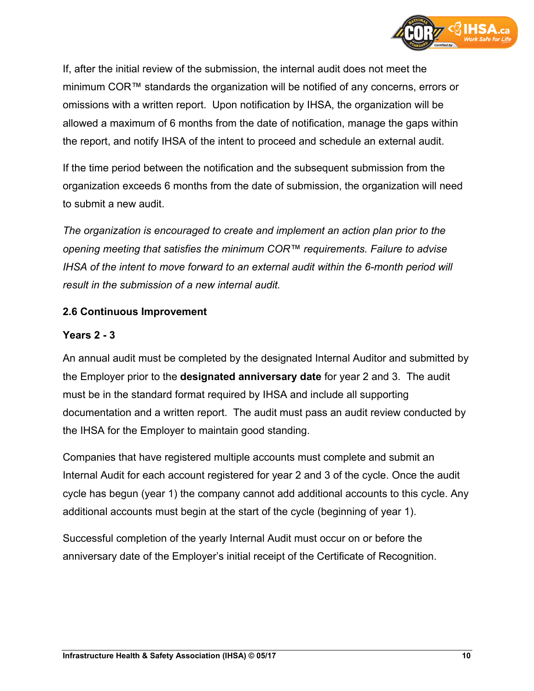

If, after the initial review of the submission, the internal audit does not meet the minimum COR™ standards the organization will be notified of any concerns, errors or omissions with a written report. Upon notification by IHSA, the organization will be allowed a maximum of 6 months from the date of notification, manage the gaps within the report, and notify IHSA of the intent to proceed and schedule an external audit.

If the time period between the notification and the subsequent submission from the organization exceeds 6 months from the date of submission, the organization will need to submit a new audit.

*The organization is encouraged to create and implement an action plan prior to the opening meeting that satisfies the minimum COR™ requirements. Failure to advise IHSA of the intent to move forward to an external audit within the 6-month period will result in the submission of a new internal audit.*

#### **2.6 Continuous Improvement**

#### **Years 2 - 3**

An annual audit must be completed by the designated Internal Auditor and submitted by the Employer prior to the **designated anniversary date** for year 2 and 3. The audit must be in the standard format required by IHSA and include all supporting documentation and a written report. The audit must pass an audit review conducted by the IHSA for the Employer to maintain good standing.

Companies that have registered multiple accounts must complete and submit an Internal Audit for each account registered for year 2 and 3 of the cycle. Once the audit cycle has begun (year 1) the company cannot add additional accounts to this cycle. Any additional accounts must begin at the start of the cycle (beginning of year 1).

Successful completion of the yearly Internal Audit must occur on or before the anniversary date of the Employer's initial receipt of the Certificate of Recognition.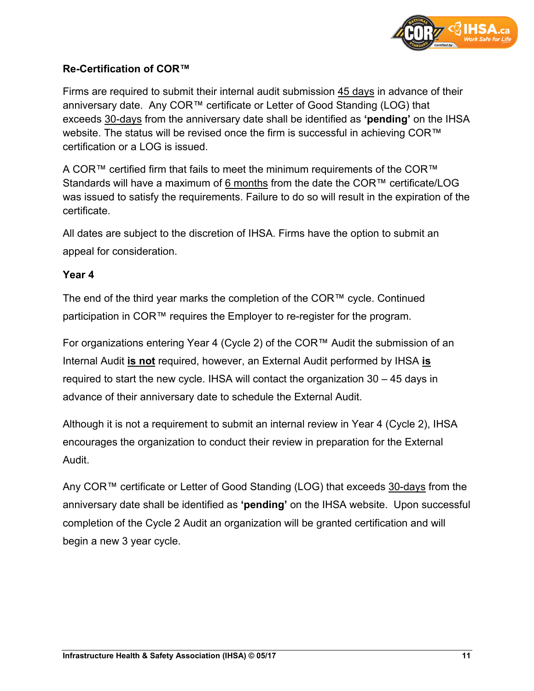

#### **Re-Certification of COR™**

Firms are required to submit their internal audit submission 45 days in advance of their anniversary date. Any COR™ certificate or Letter of Good Standing (LOG) that exceeds 30-days from the anniversary date shall be identified as **'pending'** on the IHSA website. The status will be revised once the firm is successful in achieving COR<sup>™</sup> certification or a LOG is issued.

A COR™ certified firm that fails to meet the minimum requirements of the COR™ Standards will have a maximum of 6 months from the date the COR™ certificate/LOG was issued to satisfy the requirements. Failure to do so will result in the expiration of the certificate.

All dates are subject to the discretion of IHSA. Firms have the option to submit an appeal for consideration.

#### **Year 4**

The end of the third year marks the completion of the COR™ cycle. Continued participation in COR™ requires the Employer to re-register for the program.

For organizations entering Year 4 (Cycle 2) of the COR™ Audit the submission of an Internal Audit **is not** required, however, an External Audit performed by IHSA **is** required to start the new cycle. IHSA will contact the organization 30 – 45 days in advance of their anniversary date to schedule the External Audit.

Although it is not a requirement to submit an internal review in Year 4 (Cycle 2), IHSA encourages the organization to conduct their review in preparation for the External Audit.

Any COR™ certificate or Letter of Good Standing (LOG) that exceeds 30-days from the anniversary date shall be identified as **'pending'** on the IHSA website. Upon successful completion of the Cycle 2 Audit an organization will be granted certification and will begin a new 3 year cycle.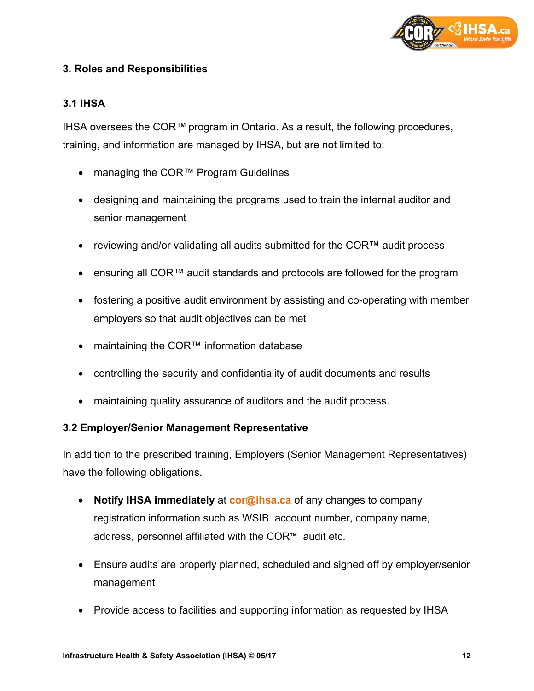

#### **3. Roles and Responsibilities**

#### **3.1 IHSA**

IHSA oversees the COR™ program in Ontario. As a result, the following procedures, training, and information are managed by IHSA, but are not limited to:

- managing the COR™ Program Guidelines
- designing and maintaining the programs used to train the internal auditor and senior management
- reviewing and/or validating all audits submitted for the COR™ audit process
- ensuring all COR™ audit standards and protocols are followed for the program
- fostering a positive audit environment by assisting and co-operating with member employers so that audit objectives can be met
- maintaining the COR™ information database
- controlling the security and confidentiality of audit documents and results
- maintaining quality assurance of auditors and the audit process.

#### **3.2 Employer/Senior Management Representative**

In addition to the prescribed training, Employers (Senior Management Representatives) have the following obligations.

- **Notify IHSA immediately** at **[cor@ihsa.ca](mailto:cor@ihsa.ca)** of any changes to company registration information such as WSIB account number, company name, address, personnel affiliated with the COR™ audit etc.
- Ensure audits are properly planned, scheduled and signed off by employer/senior management
- Provide access to facilities and supporting information as requested by IHSA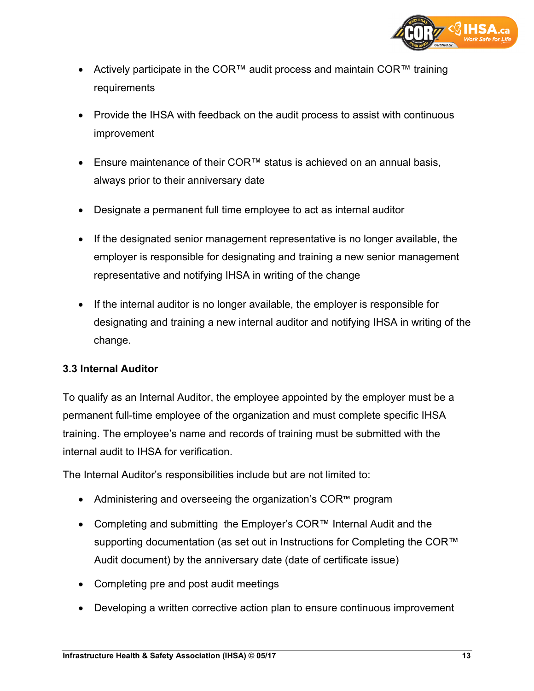

- Actively participate in the COR™ audit process and maintain COR™ training **requirements**
- Provide the IHSA with feedback on the audit process to assist with continuous improvement
- Ensure maintenance of their COR™ status is achieved on an annual basis, always prior to their anniversary date
- Designate a permanent full time employee to act as internal auditor
- If the designated senior management representative is no longer available, the employer is responsible for designating and training a new senior management representative and notifying IHSA in writing of the change
- If the internal auditor is no longer available, the employer is responsible for designating and training a new internal auditor and notifying IHSA in writing of the change.

#### **3.3 Internal Auditor**

To qualify as an Internal Auditor, the employee appointed by the employer must be a permanent full-time employee of the organization and must complete specific IHSA training. The employee's name and records of training must be submitted with the internal audit to IHSA for verification.

The Internal Auditor's responsibilities include but are not limited to:

- Administering and overseeing the organization's COR™ program
- Completing and submitting the Employer's COR™ Internal Audit and the supporting documentation (as set out in Instructions for Completing the COR<sup>™</sup> Audit document) by the anniversary date (date of certificate issue)
- Completing pre and post audit meetings
- Developing a written corrective action plan to ensure continuous improvement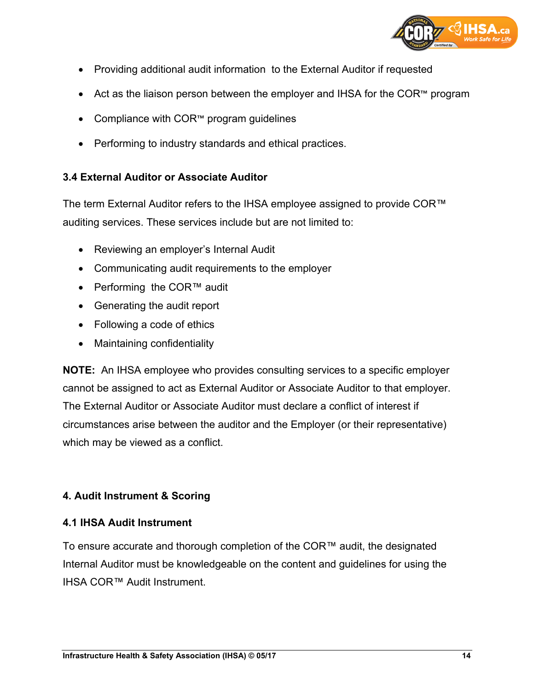

- Providing additional audit information to the External Auditor if requested
- Act as the liaison person between the employer and IHSA for the COR™ program
- Compliance with COR™ program guidelines
- Performing to industry standards and ethical practices.

#### **3.4 External Auditor or Associate Auditor**

The term External Auditor refers to the IHSA employee assigned to provide COR™ auditing services. These services include but are not limited to:

- Reviewing an employer's Internal Audit
- Communicating audit requirements to the employer
- Performing the COR™ audit
- Generating the audit report
- Following a code of ethics
- Maintaining confidentiality

**NOTE:** An IHSA employee who provides consulting services to a specific employer cannot be assigned to act as External Auditor or Associate Auditor to that employer. The External Auditor or Associate Auditor must declare a conflict of interest if circumstances arise between the auditor and the Employer (or their representative) which may be viewed as a conflict.

#### **4. Audit Instrument & Scoring**

#### **4.1 IHSA Audit Instrument**

To ensure accurate and thorough completion of the COR™ audit, the designated Internal Auditor must be knowledgeable on the content and guidelines for using the IHSA COR™ Audit Instrument.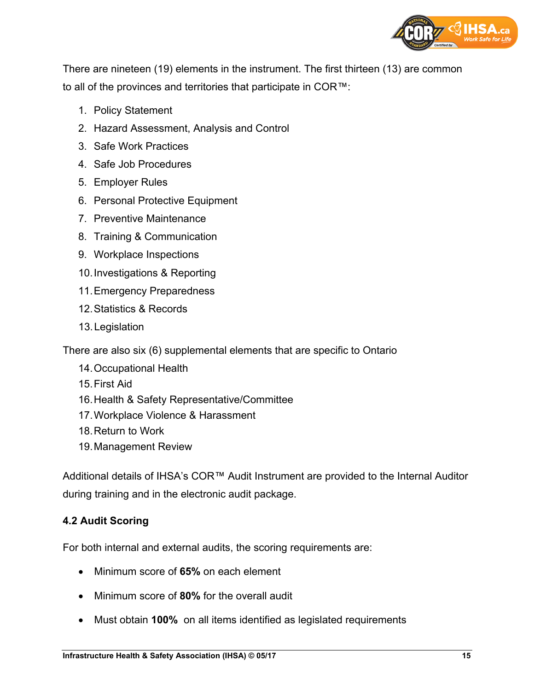

There are nineteen (19) elements in the instrument. The first thirteen (13) are common to all of the provinces and territories that participate in COR™:

- 1. Policy Statement
- 2. Hazard Assessment, Analysis and Control
- 3. Safe Work Practices
- 4. Safe Job Procedures
- 5. Employer Rules
- 6. Personal Protective Equipment
- 7. Preventive Maintenance
- 8. Training & Communication
- 9. Workplace Inspections
- 10.Investigations & Reporting
- 11.Emergency Preparedness
- 12.Statistics & Records
- 13.Legislation

There are also six (6) supplemental elements that are specific to Ontario

- 14.Occupational Health
- 15.First Aid
- 16.Health & Safety Representative/Committee
- 17.Workplace Violence & Harassment
- 18.Return to Work
- 19.Management Review

Additional details of IHSA's COR™ Audit Instrument are provided to the Internal Auditor during training and in the electronic audit package.

#### **4.2 Audit Scoring**

For both internal and external audits, the scoring requirements are:

- Minimum score of **65%** on each element
- Minimum score of **80%** for the overall audit
- Must obtain **100%** on all items identified as legislated requirements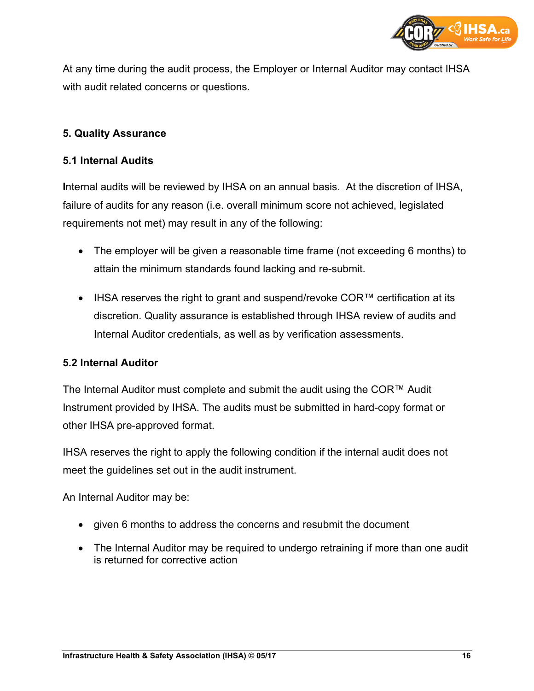

At any time during the audit process, the Employer or Internal Auditor may contact IHSA with audit related concerns or questions.

#### **5. Quality Assurance**

#### **5.1 Internal Audits**

**I**nternal audits will be reviewed by IHSA on an annual basis. At the discretion of IHSA, failure of audits for any reason (i.e. overall minimum score not achieved, legislated requirements not met) may result in any of the following:

- The employer will be given a reasonable time frame (not exceeding 6 months) to attain the minimum standards found lacking and re-submit.
- IHSA reserves the right to grant and suspend/revoke COR™ certification at its discretion. Quality assurance is established through IHSA review of audits and Internal Auditor credentials, as well as by verification assessments.

#### **5.2 Internal Auditor**

The Internal Auditor must complete and submit the audit using the COR™ Audit Instrument provided by IHSA. The audits must be submitted in hard-copy format or other IHSA pre-approved format.

IHSA reserves the right to apply the following condition if the internal audit does not meet the guidelines set out in the audit instrument.

An Internal Auditor may be:

- given 6 months to address the concerns and resubmit the document
- The Internal Auditor may be required to undergo retraining if more than one audit is returned for corrective action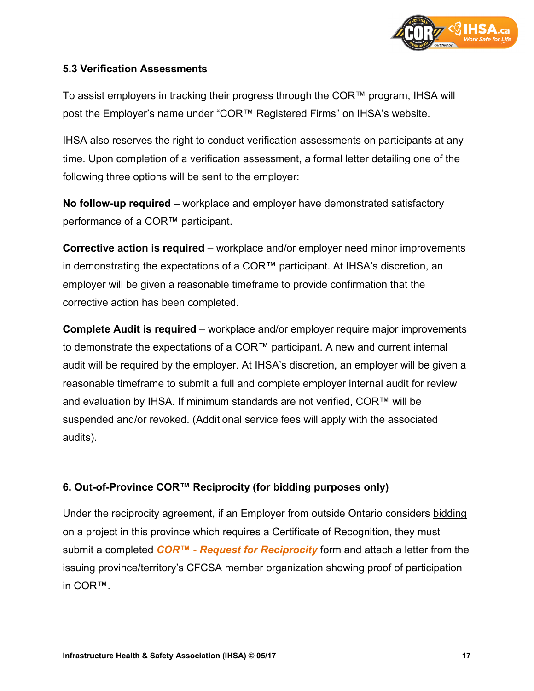

#### **5.3 Verification Assessments**

To assist employers in tracking their progress through the COR™ program, IHSA will post the Employer's name under "COR™ Registered Firms" on IHSA's website.

IHSA also reserves the right to conduct verification assessments on participants at any time. Upon completion of a verification assessment, a formal letter detailing one of the following three options will be sent to the employer:

**No follow-up required** – workplace and employer have demonstrated satisfactory performance of a COR™ participant.

**Corrective action is required** – workplace and/or employer need minor improvements in demonstrating the expectations of a COR™ participant. At IHSA's discretion, an employer will be given a reasonable timeframe to provide confirmation that the corrective action has been completed.

**Complete Audit is required** – workplace and/or employer require major improvements to demonstrate the expectations of a COR™ participant. A new and current internal audit will be required by the employer. At IHSA's discretion, an employer will be given a reasonable timeframe to submit a full and complete employer internal audit for review and evaluation by IHSA. If minimum standards are not verified, COR™ will be suspended and/or revoked. (Additional service fees will apply with the associated audits).

#### **6. Out-of-Province COR™ Reciprocity (for bidding purposes only)**

Under the reciprocity agreement, if an Employer from outside Ontario considers bidding on a project in this province which requires a Certificate of Recognition, they must submit a completed *COR™ - [Request for Reciprocity](http://www.ihsa.ca/pdfs/cor/forms/cor-request-for-reciprocity-form.pdf)* form and attach a letter from the issuing province/territory's CFCSA member organization showing proof of participation in COR™.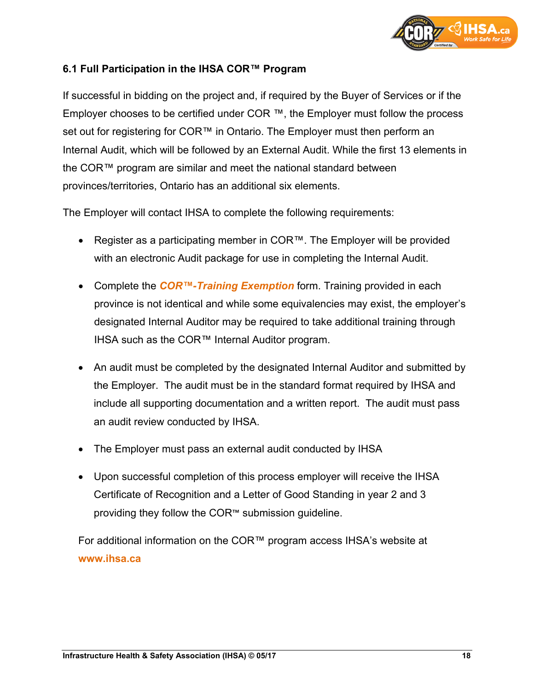

#### **6.1 Full Participation in the IHSA COR™ Program**

If successful in bidding on the project and, if required by the Buyer of Services or if the Employer chooses to be certified under COR ™, the Employer must follow the process set out for registering for COR™ in Ontario. The Employer must then perform an Internal Audit, which will be followed by an External Audit. While the first 13 elements in the COR™ program are similar and meet the national standard between provinces/territories, Ontario has an additional six elements.

The Employer will contact IHSA to complete the following requirements:

- Register as a participating member in COR™. The Employer will be provided with an electronic Audit package for use in completing the Internal Audit.
- Complete the *[COR™-Training Exemption](http://www.ihsa.ca/pdfs/cor/forms/cor-training-exemption-form.pdf)* form. Training provided in each province is not identical and while some equivalencies may exist, the employer's designated Internal Auditor may be required to take additional training through IHSA such as the COR™ Internal Auditor program.
- An audit must be completed by the designated Internal Auditor and submitted by the Employer. The audit must be in the standard format required by IHSA and include all supporting documentation and a written report. The audit must pass an audit review conducted by IHSA.
- The Employer must pass an external audit conducted by IHSA
- Upon successful completion of this process employer will receive the IHSA Certificate of Recognition and a Letter of Good Standing in year 2 and 3 providing they follow the COR™ submission guideline.

For additional information on the COR™ program access IHSA's website at **[www.ihsa.ca](http://www.ihsa.ca/)**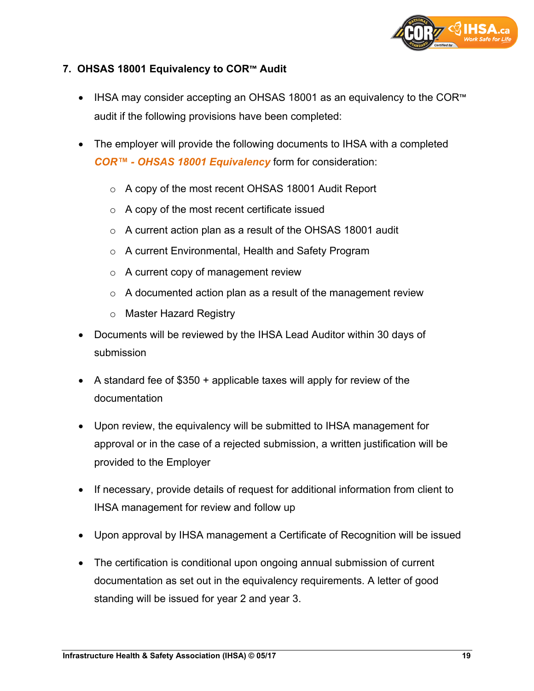

#### **7. OHSAS 18001 Equivalency to COR™ Audit**

- IHSA may consider accepting an OHSAS 18001 as an equivalency to the COR™ audit if the following provisions have been completed:
- The employer will provide the following documents to IHSA with a completed *COR™ - [OHSAS 18001 Equivalency](http://www.ihsa.ca/pdfs/cor/forms/cor-ohsas-18001-equivalency-form.pdf)* form for consideration:
	- o A copy of the most recent OHSAS 18001 Audit Report
	- o A copy of the most recent certificate issued
	- o A current action plan as a result of the OHSAS 18001 audit
	- o A current Environmental, Health and Safety Program
	- o A current copy of management review
	- $\circ$  A documented action plan as a result of the management review
	- o Master Hazard Registry
- Documents will be reviewed by the IHSA Lead Auditor within 30 days of submission
- A standard fee of \$350 + applicable taxes will apply for review of the documentation
- Upon review, the equivalency will be submitted to IHSA management for approval or in the case of a rejected submission, a written justification will be provided to the Employer
- If necessary, provide details of request for additional information from client to IHSA management for review and follow up
- Upon approval by IHSA management a Certificate of Recognition will be issued
- The certification is conditional upon ongoing annual submission of current documentation as set out in the equivalency requirements. A letter of good standing will be issued for year 2 and year 3.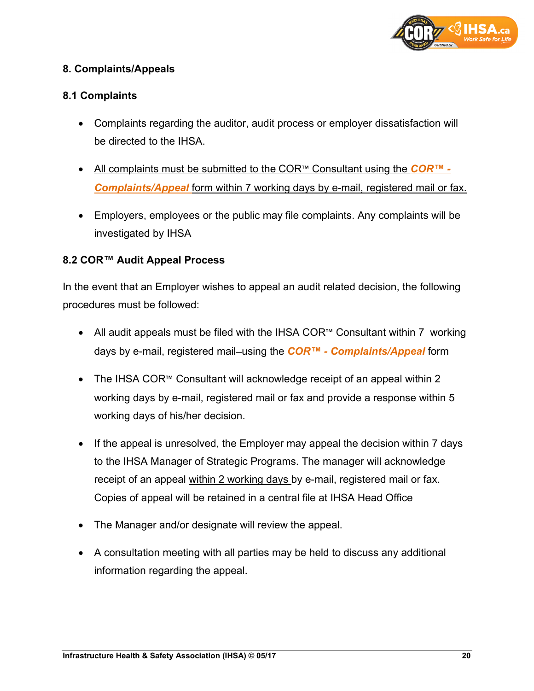

#### **8. Complaints/Appeals**

#### **8.1 Complaints**

- Complaints regarding the auditor, audit process or employer dissatisfaction will be directed to the IHSA
- All complaints must be submitted to the COR™ Consultant using the *[COR™ -](http://www.ihsa.ca/pdfs/cor/forms/cor-complaint-appeal-form.pdf) [Complaints/Appeal](http://www.ihsa.ca/pdfs/cor/forms/cor-complaint-appeal-form.pdf)* form within 7 working days by e-mail, registered mail or fax.
- Employers, employees or the public may file complaints. Any complaints will be investigated by IHSA

#### **8.2 COR™ Audit Appeal Process**

In the event that an Employer wishes to appeal an audit related decision, the following procedures must be followed:

- All audit appeals must be filed with the IHSA COR™ Consultant within 7 working days by e-mail, registered mail using the *COR™ - [Complaints/Appeal](http://www.ihsa.ca/pdfs/cor/forms/cor-complaint-appeal-form.pdf)* form
- The IHSA COR™ Consultant will acknowledge receipt of an appeal within 2 working days by e-mail, registered mail or fax and provide a response within 5 working days of his/her decision.
- If the appeal is unresolved, the Employer may appeal the decision within 7 days to the IHSA Manager of Strategic Programs. The manager will acknowledge receipt of an appeal within 2 working days by e-mail, registered mail or fax. Copies of appeal will be retained in a central file at IHSA Head Office
- The Manager and/or designate will review the appeal.
- A consultation meeting with all parties may be held to discuss any additional information regarding the appeal.